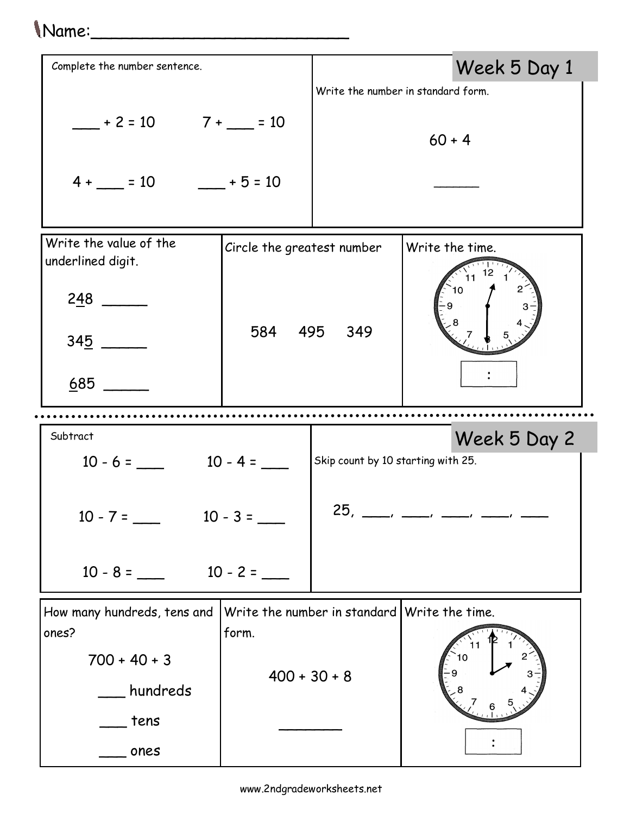## Name:\_\_\_\_\_\_\_\_\_\_\_\_\_\_\_\_\_\_\_\_\_\_\_\_\_

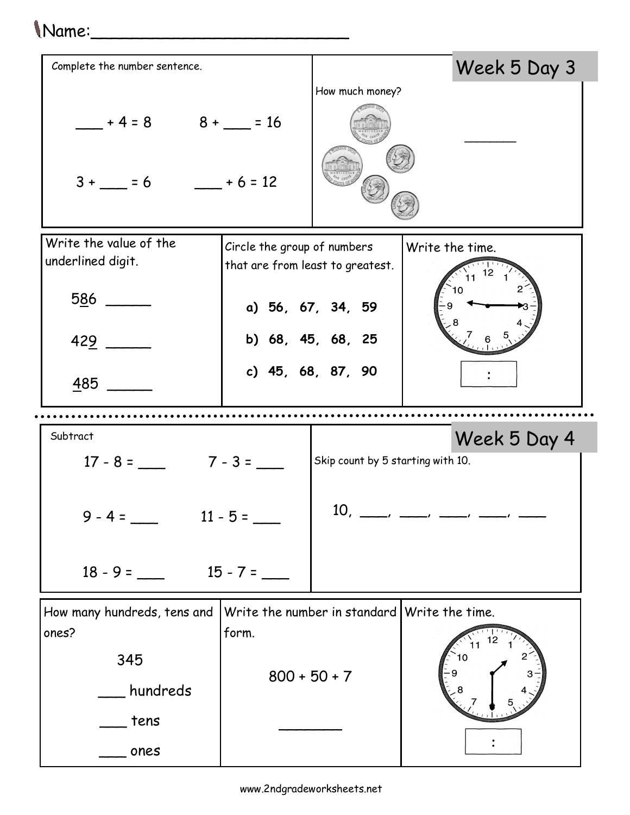## Name:\_\_\_\_\_\_\_\_\_\_\_\_\_\_\_\_\_\_\_\_\_\_\_\_\_

![](_page_1_Figure_1.jpeg)